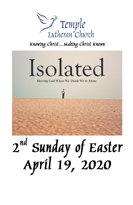

Knowing Christ... Making Christ Known



# 2<sup>nd</sup> Sunday of Easter<br>April 19, 2020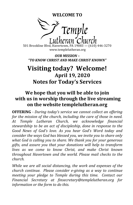**WELCOME TO**



501 Brookline Blvd, Havertown, PA 19083 — (610) 446-3270 www.templelutheran.org

*OUR MISSION – "TO KNOW CHRIST AND MAKE CHRIST KNOWN"*

# **Visiting today? Welcome! April 19, 2020 Notes for Today's Services**

# **We hope that you will be able to join with us in worship through the live streaming on the website templelutheran.org**

**OFFERING** *- During today's service we cannot collect an offering for the mission of the church, including the care of those in need. At Temple Lutheran Church, we acknowledge financial stewardship to be an act of discipleship, done in response to the Good News of God's love. As you hear God's Word today and consider the ways God has blessed you, we invite you to share only what God is calling you to share. We thank you for your generous gifts, and assure you that your donations will help to transform lives as we come to know Christ, and make Christ known throughout Havertown and the world. Please mail checks to the church.*

*While we are all social distancing, the work and expenses of the church continue. Please consider e-giving as a way to continue meeting your pledge to Temple during this time. Contact our Financial Secretary at finsecretary@templelutheran.org for information or the form to do this.*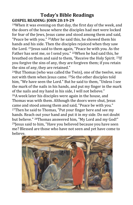### **Today's Bible Readings GOSPEL READING: JOHN 20:19-29**

 $19$ When it was evening on that day, the first day of the week, and the doors of the house where the disciples had met were locked for fear of the Jews, Jesus came and stood among them and said, "Peace be with you." 20After he said this, he showed them his hands and his side. Then the disciples rejoiced when they saw the Lord. 21Jesus said to them again, "Peace be with you. As the Father has sent me, so I send you." 22When he had said this, he breathed on them and said to them, "Receive the Holy Spirit. 23If you forgive the sins of any, they are forgiven them; if you retain the sins of any, they are retained."

<sup>24</sup>But Thomas (who was called the Twin), one of the twelve, was not with them when Jesus came. 25So the other disciples told him, "We have seen the Lord." But he said to them, "Unless I see the mark of the nails in his hands, and put my finger in the mark of the nails and my hand in his side, I will not believe." <sup>26</sup>A week later his disciples were again in the house, and Thomas was with them. Although the doors were shut, Jesus came and stood among them and said, "Peace be with you." <sup>27</sup>Then he said to Thomas, "Put your finger here and see my hands. Reach out your hand and put it in my side. Do not doubt but believe." <sup>28</sup>Thomas answered him, "My Lord and my God!" <sup>29</sup>Jesus said to him, "Have you believed because you have seen me? Blessed are those who have not seen and yet have come to believe.

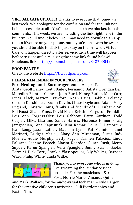**VIRTUAL CAFÉ UPDATE!** Thanks to everyone that joined us last week. We apologize for the confusion and for the link not being accessible to all - YouTube seems to have blocked it in the comments. This week, we are including the link right here in the bulletin. You'll find it below. You may need to download an app to join if you're on your phone, but if you're on a web browser you should be able to click to just stay on the browser. Virtual Cafe will happen directly after service. Kids time will happen before service at 9 a.m., using the same link found below! BlueJeans link:<https://upenn.bluejeans.com/8427000424>

### **FOOD PANTRY**

Check the website [https://tlcfoodpantry.com](https://tlcfoodpantry.com/)

### **PLEASE REMEMBER IN YOUR PRAYERS:**

**For Healing and Encouragement** Angie, Paul

Arata, Geoff Bailey, Keith Bailey, Fernando Batista, Brendan Bell, Meredith Blanton Gaines, John Burd, Nancy Butler, Mike Carr, Linda Clack, Marion Crawford, Noah Davis, Bobbie Delaney, Gordon Dershimer, Declan Devlin, Chase Doyle and Adam, Mary England, Christie Ennis, family and friends of Gil Eubank, Sr., Bill Faust, Shane Faust, David Fitch, Kristine Ferguson-Franklin, Lois Ann Forgess-Oler, Lois Gabbott, Patty Gardner, Todd Gasper, Mike, Lisa and Sandy Harms, Florence Homer, Craig Jamgochian, Gina Kapusniak, Kim Komar, Louis F. Lamoreux, Jean Long, Jason Luther, Madison Lynn, Pat Mannion, Janet Marinari, Bridget Marley, Mary Ann Mittleman, Sister Judy Moellet, Audie Murphy, Betty Pagan, Carmen Palacios, Linda Palisano, Jeanne Pocock, Marita Reardon, Susan Rush, Merry Snyder, Karen Spangler, Vera Spangler, Benny Strain, Gaetan Termini, Dick Torti, Frankie Vlassopoulos, Lily Walker, Barbara Ward, Philip White, Linda Wilke.



Thank you to everyone who is making live streaming the Sunday Service possible. For the musicians – Sarah Foss, Florrie Marks, Amanda Quillen

and Mark Wallace, for the audio-visual tech man – Kyle Barger, for the creative children's activities – Juli Pierdomenico and Pastor Tim.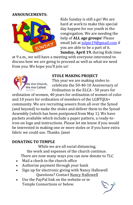### **ANNOUNCEMENTS:**



Kids Sunday is still a go! We are hard at work to make this special day happen for our youth in the congregation. We are needing the help of **ALL age groups**! Please email Juli at [julpie19@gmail.com](mailto:julpie19@gmail.com) if you are able to be a part of it. **Sunday, April 19**, during Kids time

at 9 a.m., we will have a meeting with everyone interested to discuss how we are going to proceed as well as what we need from you. We hope you'll join us!



### **STOLE MAKING PROJECT**

This year we are making stoles to celebrate the 50-40-10 Anniversary of Ordination in the ELCA - 50 years for

ordination of women, 40 years for ordination of women of color and 10 years for ordination of members of the LGBTQIA+ community. We are recruiting sewers from all over the Synod (and beyond) to make the stoles and deliver them to the Synod Assembly (which has been postponed from May 1). We have packets available which include a paper pattern, a ready-toiron-on logo and instructions. Please let me know if you would be interested in making one or more stoles or if you have extra fabric we could use. Thanks. Janet

### **DONATING TO TEMPLE**

While we are all social distancing, the work and expenses of the church continue. There are now many ways you can now donate to TLC

- Mail a check to the church office
- Authorize payment through your bank
- Sign up for electronic giving with Nancy Hallowell Questions? Contact [Nancy Hallowell](mailto:nancy.hallowell@gmail.com)
- Use the PayPal link on the website or in Temple Connections or below.

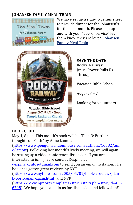### **JOHANSEN FAMILY MEAL TRAIN**



We have set up a sign-up genius sheet to provide dinner for the Johansen's for the next month. Please sign up and with your "acts of service" let them know they are loved. [Johansen](https://www.signupgenius.com/go/10C0B45AEA82AABFA7-johansen)  [Family Meal Train](https://www.signupgenius.com/go/10C0B45AEA82AABFA7-johansen)



### **BOOK CLUB**

**SAVE THE DATE** Rocky Railway: Jesus' Power Pulls Us Through.

Vacation Bible School

August 3 – 7

Looking for volunteers.

May 4, 8 p.m. This month's book will be "Plan B: Further thoughts on Faith" by Anne Lamott

[\(https://www.penguinrandomhouse.com/authors/16582/ann](https://www.penguinrandomhouse.com/authors/16582/anne-lamott) [e-lamott\)](https://www.penguinrandomhouse.com/authors/16582/anne-lamott). Following last month's lively meeting, we will again be setting up a video-conference discussion. If you are interested to join, please contact Despina at [despina.kontos@gmail.com](mailto:despina.kontos@gmail.com) to send you an email invitation. The book has gotten great reviews by NYT

[\(https://www.nytimes.com/2005/05/01/books/review/plan](https://www.nytimes.com/2005/05/01/books/review/plan-b-born-again-again.html)[b-born-again-again.html\)](https://www.nytimes.com/2005/05/01/books/review/plan-b-born-again-again.html) and NPR

[\(https://www.npr.org/templates/story/story.php?storyId=453](https://www.npr.org/templates/story/story.php?storyId=4536798) [6798\)](https://www.npr.org/templates/story/story.php?storyId=4536798). We hope you can join us for discussion and fellowship!"